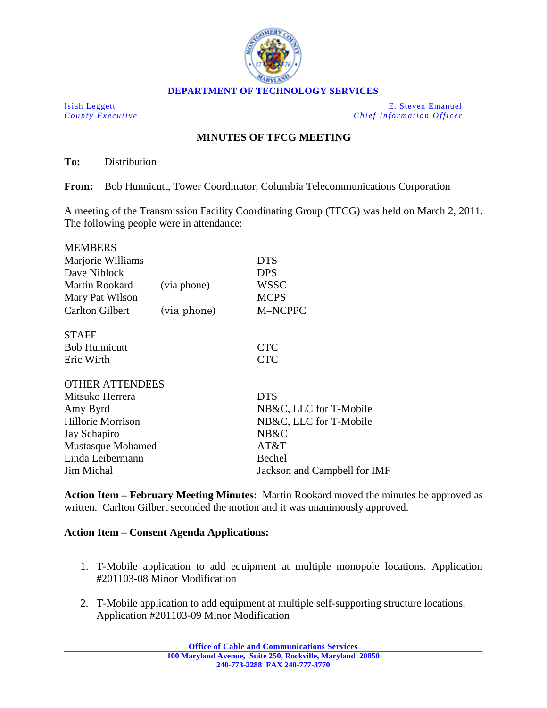

Isiah Leggett E. Steven Emanuel<br>
County Executive County Executive County Executive County Executive County Executive *Chief Information Officer* 

## **MINUTES OF TFCG MEETING**

**To:** Distribution

**From:** Bob Hunnicutt, Tower Coordinator, Columbia Telecommunications Corporation

A meeting of the Transmission Facility Coordinating Group (TFCG) was held on March 2, 2011. The following people were in attendance:

| <b>MEMBERS</b>                    |             |                                |
|-----------------------------------|-------------|--------------------------------|
| Marjorie Williams                 |             | <b>DTS</b>                     |
| Dave Niblock                      |             | <b>DPS</b>                     |
| Martin Rookard                    | (via phone) | <b>WSSC</b>                    |
| Mary Pat Wilson                   |             | <b>MCPS</b>                    |
| <b>Carlton Gilbert</b>            | (via phone) | M-NCPPC                        |
| <b>STAFF</b>                      |             |                                |
| <b>Bob Hunnicutt</b>              |             | <b>CTC</b>                     |
| Eric Wirth                        |             | <b>CTC</b>                     |
| <b>OTHER ATTENDEES</b>            |             |                                |
| Mitsuko Herrera                   |             | <b>DTS</b>                     |
| Amy Byrd                          |             | NB&C, LLC for T-Mobile         |
| Hillorie Morrison<br>Jay Schapiro |             | NB&C, LLC for T-Mobile<br>NB&C |
|                                   |             |                                |
| Linda Leibermann                  |             | Bechel                         |
| <b>Jim Michal</b>                 |             | Jackson and Campbell for IMF   |
|                                   |             |                                |

**Action Item – February Meeting Minutes**: Martin Rookard moved the minutes be approved as written. Carlton Gilbert seconded the motion and it was unanimously approved.

## **Action Item – Consent Agenda Applications:**

- 1. T-Mobile application to add equipment at multiple monopole locations. Application #201103-08 Minor Modification
- 2. T-Mobile application to add equipment at multiple self-supporting structure locations. Application #201103-09 Minor Modification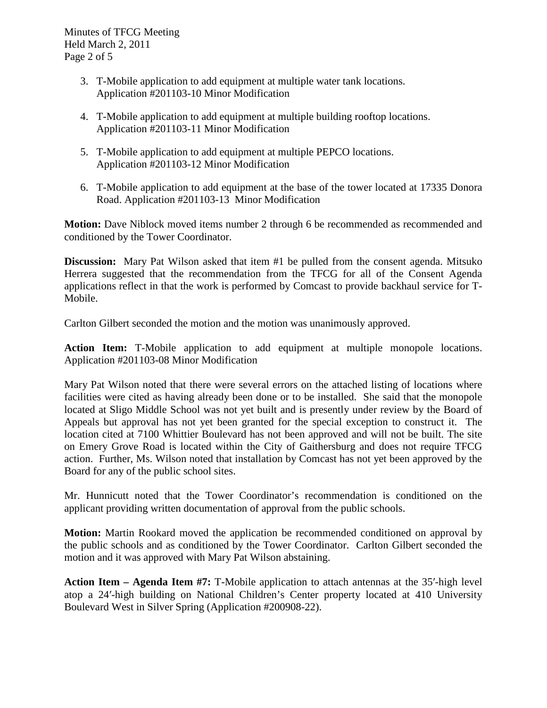- 3. T-Mobile application to add equipment at multiple water tank locations. Application #201103-10 Minor Modification
- 4. T-Mobile application to add equipment at multiple building rooftop locations. Application #201103-11 Minor Modification
- 5. T-Mobile application to add equipment at multiple PEPCO locations. Application #201103-12 Minor Modification
- 6. T-Mobile application to add equipment at the base of the tower located at 17335 Donora Road. Application #201103-13 Minor Modification

**Motion:** Dave Niblock moved items number 2 through 6 be recommended as recommended and conditioned by the Tower Coordinator.

**Discussion:** Mary Pat Wilson asked that item #1 be pulled from the consent agenda. Mitsuko Herrera suggested that the recommendation from the TFCG for all of the Consent Agenda applications reflect in that the work is performed by Comcast to provide backhaul service for T-Mobile.

Carlton Gilbert seconded the motion and the motion was unanimously approved.

**Action Item:** T-Mobile application to add equipment at multiple monopole locations. Application #201103-08 Minor Modification

Mary Pat Wilson noted that there were several errors on the attached listing of locations where facilities were cited as having already been done or to be installed. She said that the monopole located at Sligo Middle School was not yet built and is presently under review by the Board of Appeals but approval has not yet been granted for the special exception to construct it. The location cited at 7100 Whittier Boulevard has not been approved and will not be built. The site on Emery Grove Road is located within the City of Gaithersburg and does not require TFCG action. Further, Ms. Wilson noted that installation by Comcast has not yet been approved by the Board for any of the public school sites.

Mr. Hunnicutt noted that the Tower Coordinator's recommendation is conditioned on the applicant providing written documentation of approval from the public schools.

**Motion:** Martin Rookard moved the application be recommended conditioned on approval by the public schools and as conditioned by the Tower Coordinator. Carlton Gilbert seconded the motion and it was approved with Mary Pat Wilson abstaining.

**Action Item – Agenda Item #7:** T-Mobile application to attach antennas at the 35′-high level atop a 24′-high building on National Children's Center property located at 410 University Boulevard West in Silver Spring (Application #200908-22).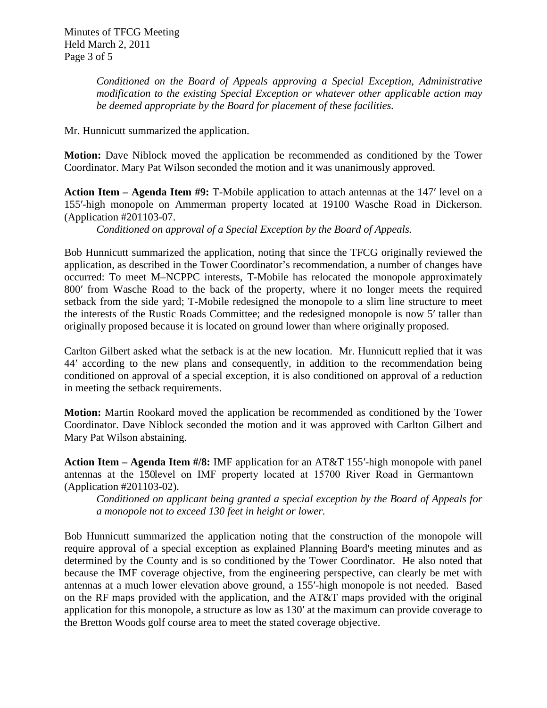*Conditioned on the Board of Appeals approving a Special Exception, Administrative modification to the existing Special Exception or whatever other applicable action may be deemed appropriate by the Board for placement of these facilities.*

Mr. Hunnicutt summarized the application.

**Motion:** Dave Niblock moved the application be recommended as conditioned by the Tower Coordinator. Mary Pat Wilson seconded the motion and it was unanimously approved.

**Action Item – Agenda Item #9:** T-Mobile application to attach antennas at the 147′ level on a 155′-high monopole on Ammerman property located at 19100 Wasche Road in Dickerson. (Application #201103-07.

*Conditioned on approval of a Special Exception by the Board of Appeals.*

Bob Hunnicutt summarized the application, noting that since the TFCG originally reviewed the application, as described in the Tower Coordinator's recommendation, a number of changes have occurred: To meet M–NCPPC interests, T-Mobile has relocated the monopole approximately 800′ from Wasche Road to the back of the property, where it no longer meets the required setback from the side yard; T-Mobile redesigned the monopole to a slim line structure to meet the interests of the Rustic Roads Committee; and the redesigned monopole is now 5′ taller than originally proposed because it is located on ground lower than where originally proposed.

Carlton Gilbert asked what the setback is at the new location. Mr. Hunnicutt replied that it was 44′ according to the new plans and consequently, in addition to the recommendation being conditioned on approval of a special exception, it is also conditioned on approval of a reduction in meeting the setback requirements.

**Motion:** Martin Rookard moved the application be recommended as conditioned by the Tower Coordinator. Dave Niblock seconded the motion and it was approved with Carlton Gilbert and Mary Pat Wilson abstaining.

**Action Item – Agenda Item #/8:** IMF application for an AT&T 155′-high monopole with panel antennas at the 150 level on IMF property located at 15700 River Road in Germantown (Application #201103-02).

*Conditioned on applicant being granted a special exception by the Board of Appeals for a monopole not to exceed 130 feet in height or lower.* 

Bob Hunnicutt summarized the application noting that the construction of the monopole will require approval of a special exception as explained Planning Board's meeting minutes and as determined by the County and is so conditioned by the Tower Coordinator. He also noted that because the IMF coverage objective, from the engineering perspective, can clearly be met with antennas at a much lower elevation above ground, a 155′-high monopole is not needed. Based on the RF maps provided with the application, and the AT&T maps provided with the original application for this monopole, a structure as low as 130′ at the maximum can provide coverage to the Bretton Woods golf course area to meet the stated coverage objective.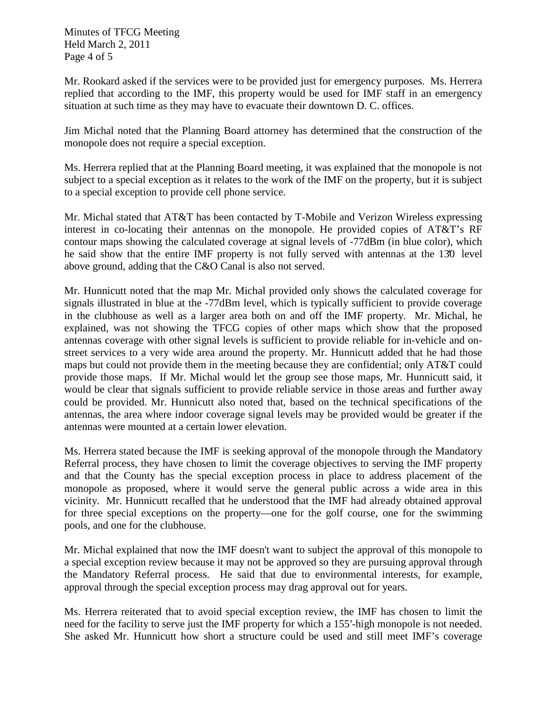Minutes of TFCG Meeting Held March 2, 2011 Page 4 of 5

Mr. Rookard asked if the services were to be provided just for emergency purposes. Ms. Herrera replied that according to the IMF, this property would be used for IMF staff in an emergency situation at such time as they may have to evacuate their downtown D. C. offices.

Jim Michal noted that the Planning Board attorney has determined that the construction of the monopole does not require a special exception.

Ms. Herrera replied that at the Planning Board meeting, it was explained that the monopole is not subject to a special exception as it relates to the work of the IMF on the property, but it is subject to a special exception to provide cell phone service.

Mr. Michal stated that AT&T has been contacted by T-Mobile and Verizon Wireless expressing interest in co-locating their antennas on the monopole. He provided copies of AT&T's RF contour maps showing the calculated coverage at signal levels of -77dBm (in blue color), which he said show that the entire IMF property is not fully served with antennas at the 130 level above ground, adding that the C&O Canal is also not served.

Mr. Hunnicutt noted that the map Mr. Michal provided only shows the calculated coverage for signals illustrated in blue at the -77dBm level, which is typically sufficient to provide coverage in the clubhouse as well as a larger area both on and off the IMF property. Mr. Michal, he explained, was not showing the TFCG copies of other maps which show that the proposed antennas coverage with other signal levels is sufficient to provide reliable for in-vehicle and onstreet services to a very wide area around the property. Mr. Hunnicutt added that he had those maps but could not provide them in the meeting because they are confidential; only AT&T could provide those maps. If Mr. Michal would let the group see those maps, Mr. Hunnicutt said, it would be clear that signals sufficient to provide reliable service in those areas and further away could be provided. Mr. Hunnicutt also noted that, based on the technical specifications of the antennas, the area where indoor coverage signal levels may be provided would be greater if the antennas were mounted at a certain lower elevation.

Ms. Herrera stated because the IMF is seeking approval of the monopole through the Mandatory Referral process, they have chosen to limit the coverage objectives to serving the IMF property and that the County has the special exception process in place to address placement of the monopole as proposed, where it would serve the general public across a wide area in this vicinity. Mr. Hunnicutt recalled that he understood that the IMF had already obtained approval for three special exceptions on the property—one for the golf course, one for the swimming pools, and one for the clubhouse.

Mr. Michal explained that now the IMF doesn't want to subject the approval of this monopole to a special exception review because it may not be approved so they are pursuing approval through the Mandatory Referral process. He said that due to environmental interests, for example, approval through the special exception process may drag approval out for years.

Ms. Herrera reiterated that to avoid special exception review, the IMF has chosen to limit the need for the facility to serve just the IMF property for which a 155′-high monopole is not needed. She asked Mr. Hunnicutt how short a structure could be used and still meet IMF's coverage